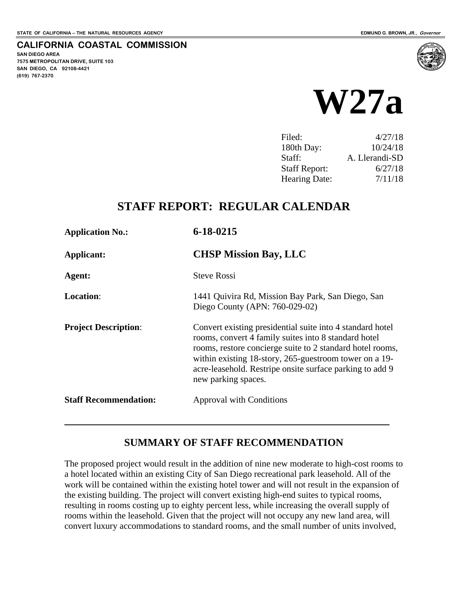**SAN DIEGO AREA**

**(619) 767-2370**

**7575 METROPOLITAN DRIVE, SUITE 103 SAN DIEGO, CA 92108-4421**

 $\overline{a}$ 

**CALIFORNIA COASTAL COMMISSION**



| Filed:               | 4/27/18        |
|----------------------|----------------|
| 180th Day:           | 10/24/18       |
| Staff:               | A. Llerandi-SD |
| <b>Staff Report:</b> | 6/27/18        |
| <b>Hearing Date:</b> | 7/11/18        |
|                      |                |

# **STAFF REPORT: REGULAR CALENDAR**

| <b>Application No.:</b>      | $6 - 18 - 0215$                                                                                                                                                                                                                                                                                                             |
|------------------------------|-----------------------------------------------------------------------------------------------------------------------------------------------------------------------------------------------------------------------------------------------------------------------------------------------------------------------------|
| Applicant:                   | <b>CHSP Mission Bay, LLC</b>                                                                                                                                                                                                                                                                                                |
| Agent:                       | <b>Steve Rossi</b>                                                                                                                                                                                                                                                                                                          |
| <b>Location:</b>             | 1441 Quivira Rd, Mission Bay Park, San Diego, San<br>Diego County (APN: 760-029-02)                                                                                                                                                                                                                                         |
| <b>Project Description:</b>  | Convert existing presidential suite into 4 standard hotel<br>rooms, convert 4 family suites into 8 standard hotel<br>rooms, restore concierge suite to 2 standard hotel rooms,<br>within existing 18-story, 265-guestroom tower on a 19-<br>acre-leasehold. Restripe onsite surface parking to add 9<br>new parking spaces. |
| <b>Staff Recommendation:</b> | Approval with Conditions                                                                                                                                                                                                                                                                                                    |

## **SUMMARY OF STAFF RECOMMENDATION**

The proposed project would result in the addition of nine new moderate to high-cost rooms to a hotel located within an existing City of San Diego recreational park leasehold. All of the work will be contained within the existing hotel tower and will not result in the expansion of the existing building. The project will convert existing high-end suites to typical rooms, resulting in rooms costing up to eighty percent less, while increasing the overall supply of rooms within the leasehold. Given that the project will not occupy any new land area, will convert luxury accommodations to standard rooms, and the small number of units involved,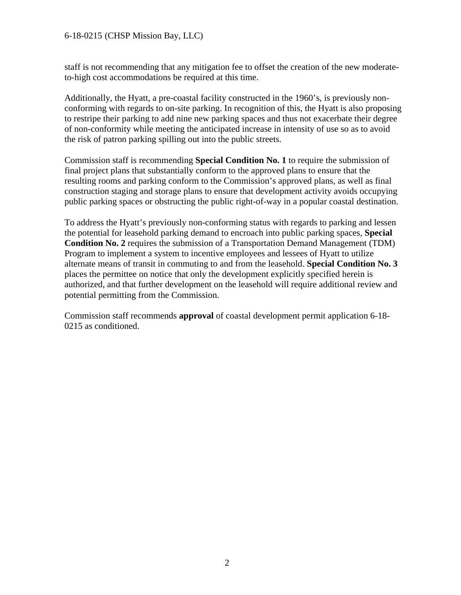#### 6-18-0215 (CHSP Mission Bay, LLC)

staff is not recommending that any mitigation fee to offset the creation of the new moderateto-high cost accommodations be required at this time.

Additionally, the Hyatt, a pre-coastal facility constructed in the 1960's, is previously nonconforming with regards to on-site parking. In recognition of this, the Hyatt is also proposing to restripe their parking to add nine new parking spaces and thus not exacerbate their degree of non-conformity while meeting the anticipated increase in intensity of use so as to avoid the risk of patron parking spilling out into the public streets.

Commission staff is recommending **Special Condition No. 1** to require the submission of final project plans that substantially conform to the approved plans to ensure that the resulting rooms and parking conform to the Commission's approved plans, as well as final construction staging and storage plans to ensure that development activity avoids occupying public parking spaces or obstructing the public right-of-way in a popular coastal destination.

To address the Hyatt's previously non-conforming status with regards to parking and lessen the potential for leasehold parking demand to encroach into public parking spaces, **Special Condition No. 2** requires the submission of a Transportation Demand Management (TDM) Program to implement a system to incentive employees and lessees of Hyatt to utilize alternate means of transit in commuting to and from the leasehold. **Special Condition No. 3**  places the permittee on notice that only the development explicitly specified herein is authorized, and that further development on the leasehold will require additional review and potential permitting from the Commission.

Commission staff recommends **approval** of coastal development permit application 6-18- 0215 as conditioned.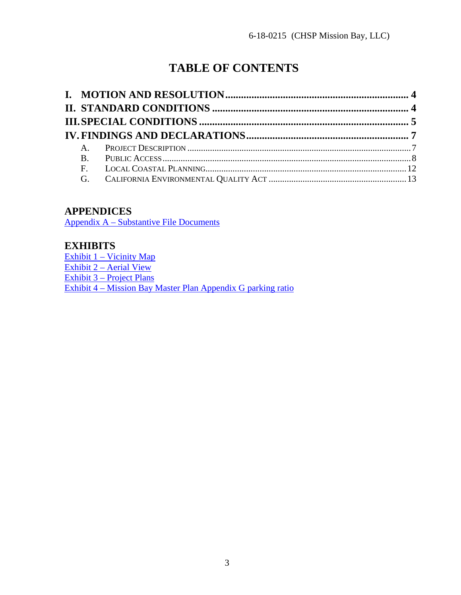# **TABLE OF CONTENTS**

## **APPENDICES**

[Appendix A – Substantive File Documents](#page-13-0)

## **EXHIBITS**

Exhibit 1 – Vicinity Map Exhibit 2 – Aerial View Exhibit 3 – Project Plans Exhibit 4 – Mission Bay Master Plan Appendix G parking ratio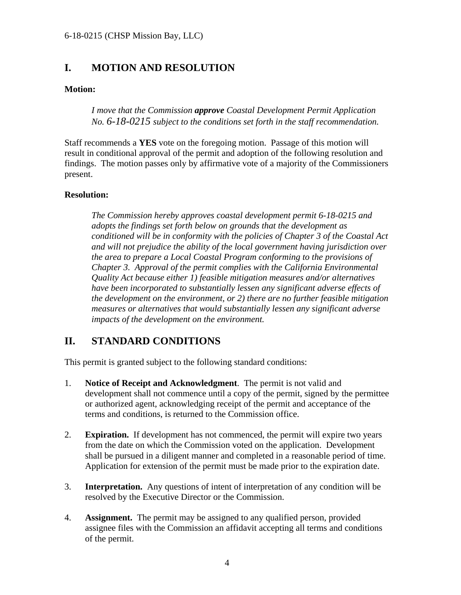## <span id="page-3-0"></span>**I. MOTION AND RESOLUTION**

#### **Motion:**

*I move that the Commission approve Coastal Development Permit Application No. 6-18-0215 subject to the conditions set forth in the staff recommendation.* 

Staff recommends a **YES** vote on the foregoing motion. Passage of this motion will result in conditional approval of the permit and adoption of the following resolution and findings. The motion passes only by affirmative vote of a majority of the Commissioners present.

#### **Resolution:**

*The Commission hereby approves coastal development permit 6-18-0215 and adopts the findings set forth below on grounds that the development as conditioned will be in conformity with the policies of Chapter 3 of the Coastal Act and will not prejudice the ability of the local government having jurisdiction over the area to prepare a Local Coastal Program conforming to the provisions of Chapter 3. Approval of the permit complies with the California Environmental Quality Act because either 1) feasible mitigation measures and/or alternatives have been incorporated to substantially lessen any significant adverse effects of the development on the environment, or 2) there are no further feasible mitigation measures or alternatives that would substantially lessen any significant adverse impacts of the development on the environment.* 

## <span id="page-3-1"></span>**II. STANDARD CONDITIONS**

This permit is granted subject to the following standard conditions:

- 1. **Notice of Receipt and Acknowledgment**. The permit is not valid and development shall not commence until a copy of the permit, signed by the permittee or authorized agent, acknowledging receipt of the permit and acceptance of the terms and conditions, is returned to the Commission office.
- 2. **Expiration.** If development has not commenced, the permit will expire two years from the date on which the Commission voted on the application. Development shall be pursued in a diligent manner and completed in a reasonable period of time. Application for extension of the permit must be made prior to the expiration date.
- 3. **Interpretation.** Any questions of intent of interpretation of any condition will be resolved by the Executive Director or the Commission.
- 4. **Assignment.** The permit may be assigned to any qualified person, provided assignee files with the Commission an affidavit accepting all terms and conditions of the permit.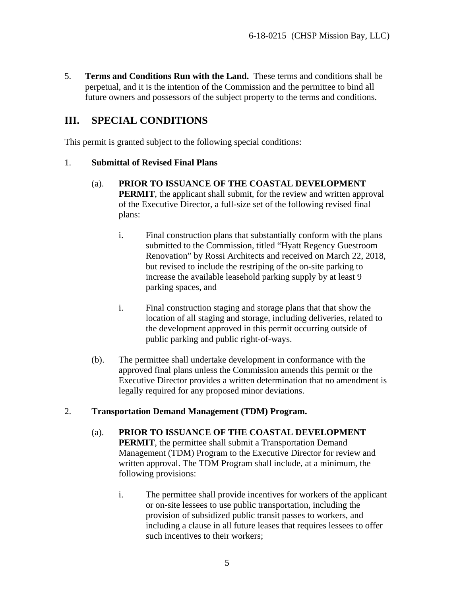5. **Terms and Conditions Run with the Land.** These terms and conditions shall be perpetual, and it is the intention of the Commission and the permittee to bind all future owners and possessors of the subject property to the terms and conditions.

## <span id="page-4-0"></span>**III. SPECIAL CONDITIONS**

This permit is granted subject to the following special conditions:

#### 1. **Submittal of Revised Final Plans**

- (a). **PRIOR TO ISSUANCE OF THE COASTAL DEVELOPMENT PERMIT**, the applicant shall submit, for the review and written approval of the Executive Director, a full-size set of the following revised final plans:
	- i. Final construction plans that substantially conform with the plans submitted to the Commission, titled "Hyatt Regency Guestroom Renovation" by Rossi Architects and received on March 22, 2018, but revised to include the restriping of the on-site parking to increase the available leasehold parking supply by at least 9 parking spaces, and
	- i. Final construction staging and storage plans that that show the location of all staging and storage, including deliveries, related to the development approved in this permit occurring outside of public parking and public right-of-ways.
- (b). The permittee shall undertake development in conformance with the approved final plans unless the Commission amends this permit or the Executive Director provides a written determination that no amendment is legally required for any proposed minor deviations.

#### 2. **Transportation Demand Management (TDM) Program.**

- (a). **PRIOR TO ISSUANCE OF THE COASTAL DEVELOPMENT PERMIT**, the permittee shall submit a Transportation Demand Management (TDM) Program to the Executive Director for review and written approval. The TDM Program shall include, at a minimum, the following provisions:
	- i. The permittee shall provide incentives for workers of the applicant or on-site lessees to use public transportation, including the provision of subsidized public transit passes to workers, and including a clause in all future leases that requires lessees to offer such incentives to their workers;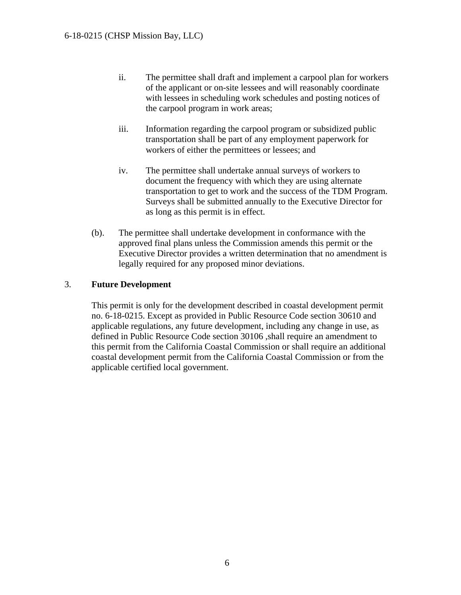- ii. The permittee shall draft and implement a carpool plan for workers of the applicant or on-site lessees and will reasonably coordinate with lessees in scheduling work schedules and posting notices of the carpool program in work areas;
- iii. Information regarding the carpool program or subsidized public transportation shall be part of any employment paperwork for workers of either the permittees or lessees; and
- iv. The permittee shall undertake annual surveys of workers to document the frequency with which they are using alternate transportation to get to work and the success of the TDM Program. Surveys shall be submitted annually to the Executive Director for as long as this permit is in effect.
- (b). The permittee shall undertake development in conformance with the approved final plans unless the Commission amends this permit or the Executive Director provides a written determination that no amendment is legally required for any proposed minor deviations.

#### 3. **Future Development**

This permit is only for the development described in coastal development permit no. 6-18-0215. Except as provided in Public Resource Code section 30610 and applicable regulations, any future development, including any change in use, as defined in Public Resource Code section 30106 ,shall require an amendment to this permit from the California Coastal Commission or shall require an additional coastal development permit from the California Coastal Commission or from the applicable certified local government.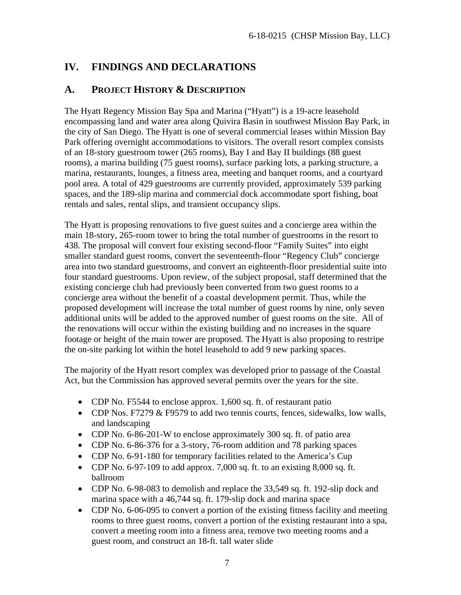## <span id="page-6-0"></span>**IV. FINDINGS AND DECLARATIONS**

## <span id="page-6-1"></span>**A. PROJECT HISTORY & DESCRIPTION**

The Hyatt Regency Mission Bay Spa and Marina ("Hyatt") is a 19-acre leasehold encompassing land and water area along Quivira Basin in southwest Mission Bay Park, in the city of San Diego. The Hyatt is one of several commercial leases within Mission Bay Park offering overnight accommodations to visitors. The overall resort complex consists of an 18-story guestroom tower (265 rooms), Bay I and Bay II buildings (88 guest rooms), a marina building (75 guest rooms), surface parking lots, a parking structure, a marina, restaurants, lounges, a fitness area, meeting and banquet rooms, and a courtyard pool area. A total of 429 guestrooms are currently provided, approximately 539 parking spaces, and the 189-slip marina and commercial dock accommodate sport fishing, boat rentals and sales, rental slips, and transient occupancy slips.

The Hyatt is proposing renovations to five guest suites and a concierge area within the main 18-story, 265-room tower to bring the total number of guestrooms in the resort to 438. The proposal will convert four existing second-floor "Family Suites" into eight smaller standard guest rooms, convert the seventeenth-floor "Regency Club" concierge area into two standard guestrooms, and convert an eighteenth-floor presidential suite into four standard guestrooms. Upon review, of the subject proposal, staff determined that the existing concierge club had previously been converted from two guest rooms to a concierge area without the benefit of a coastal development permit. Thus, while the proposed development will increase the total number of guest rooms by nine, only seven additional units will be added to the approved number of guest rooms on the site. All of the renovations will occur within the existing building and no increases in the square footage or height of the main tower are proposed. The Hyatt is also proposing to restripe the on-site parking lot within the hotel leasehold to add 9 new parking spaces.

The majority of the Hyatt resort complex was developed prior to passage of the Coastal Act, but the Commission has approved several permits over the years for the site.

- CDP No. F5544 to enclose approx. 1,600 sq. ft. of restaurant patio
- CDP Nos. F7279 & F9579 to add two tennis courts, fences, sidewalks, low walls, and landscaping
- CDP No. 6-86-201-W to enclose approximately 300 sq. ft. of patio area
- CDP No. 6-86-376 for a 3-story, 76-room addition and 78 parking spaces
- CDP No. 6-91-180 for temporary facilities related to the America's Cup
- CDP No.  $6-97-109$  to add approx. 7,000 sq. ft. to an existing 8,000 sq. ft. ballroom
- CDP No. 6-98-083 to demolish and replace the 33,549 sq. ft. 192-slip dock and marina space with a 46,744 sq. ft. 179-slip dock and marina space
- CDP No. 6-06-095 to convert a portion of the existing fitness facility and meeting rooms to three guest rooms, convert a portion of the existing restaurant into a spa, convert a meeting room into a fitness area, remove two meeting rooms and a guest room, and construct an 18-ft. tall water slide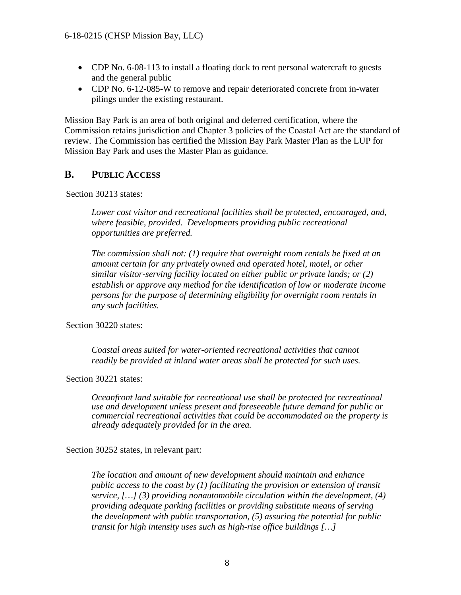- CDP No. 6-08-113 to install a floating dock to rent personal watercraft to guests and the general public
- CDP No. 6-12-085-W to remove and repair deteriorated concrete from in-water pilings under the existing restaurant.

Mission Bay Park is an area of both original and deferred certification, where the Commission retains jurisdiction and Chapter 3 policies of the Coastal Act are the standard of review. The Commission has certified the Mission Bay Park Master Plan as the LUP for Mission Bay Park and uses the Master Plan as guidance.

### <span id="page-7-0"></span>**B. PUBLIC ACCESS**

Section 30213 states:

*Lower cost visitor and recreational facilities shall be protected, encouraged, and, where feasible, provided. Developments providing public recreational opportunities are preferred.* 

*The commission shall not: (1) require that overnight room rentals be fixed at an amount certain for any privately owned and operated hotel, motel, or other similar visitor-serving facility located on either public or private lands; or (2) establish or approve any method for the identification of low or moderate income persons for the purpose of determining eligibility for overnight room rentals in any such facilities.*

Section 30220 states:

*Coastal areas suited for water-oriented recreational activities that cannot readily be provided at inland water areas shall be protected for such uses.*

Section 30221 states:

*Oceanfront land suitable for recreational use shall be protected for recreational use and development unless present and foreseeable future demand for public or commercial recreational activities that could be accommodated on the property is already adequately provided for in the area.*

Section 30252 states, in relevant part:

*The location and amount of new development should maintain and enhance public access to the coast by (1) facilitating the provision or extension of transit service, […] (3) providing nonautomobile circulation within the development, (4) providing adequate parking facilities or providing substitute means of serving the development with public transportation, (5) assuring the potential for public transit for high intensity uses such as high-rise office buildings […]*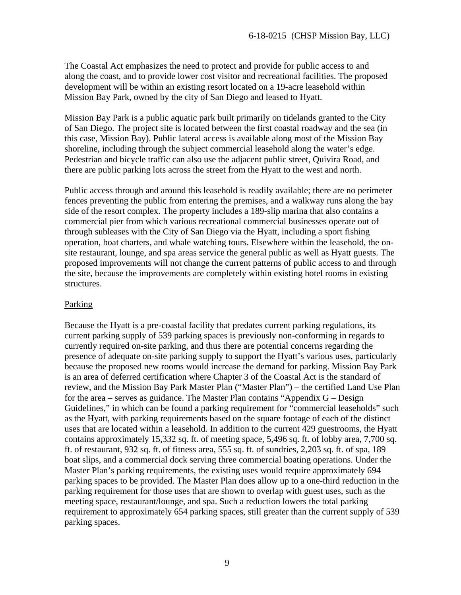The Coastal Act emphasizes the need to protect and provide for public access to and along the coast, and to provide lower cost visitor and recreational facilities. The proposed development will be within an existing resort located on a 19-acre leasehold within Mission Bay Park, owned by the city of San Diego and leased to Hyatt.

Mission Bay Park is a public aquatic park built primarily on tidelands granted to the City of San Diego. The project site is located between the first coastal roadway and the sea (in this case, Mission Bay). Public lateral access is available along most of the Mission Bay shoreline, including through the subject commercial leasehold along the water's edge. Pedestrian and bicycle traffic can also use the adjacent public street, Quivira Road, and there are public parking lots across the street from the Hyatt to the west and north.

Public access through and around this leasehold is readily available; there are no perimeter fences preventing the public from entering the premises, and a walkway runs along the bay side of the resort complex. The property includes a 189-slip marina that also contains a commercial pier from which various recreational commercial businesses operate out of through subleases with the City of San Diego via the Hyatt, including a sport fishing operation, boat charters, and whale watching tours. Elsewhere within the leasehold, the onsite restaurant, lounge, and spa areas service the general public as well as Hyatt guests. The proposed improvements will not change the current patterns of public access to and through the site, because the improvements are completely within existing hotel rooms in existing structures.

#### Parking

Because the Hyatt is a pre-coastal facility that predates current parking regulations, its current parking supply of 539 parking spaces is previously non-conforming in regards to currently required on-site parking, and thus there are potential concerns regarding the presence of adequate on-site parking supply to support the Hyatt's various uses, particularly because the proposed new rooms would increase the demand for parking. Mission Bay Park is an area of deferred certification where Chapter 3 of the Coastal Act is the standard of review, and the Mission Bay Park Master Plan ("Master Plan") – the certified Land Use Plan for the area – serves as guidance. The Master Plan contains "Appendix G – Design Guidelines," in which can be found a parking requirement for "commercial leaseholds" such as the Hyatt, with parking requirements based on the square footage of each of the distinct uses that are located within a leasehold. In addition to the current 429 guestrooms, the Hyatt contains approximately 15,332 sq. ft. of meeting space, 5,496 sq. ft. of lobby area, 7,700 sq. ft. of restaurant, 932 sq. ft. of fitness area, 555 sq. ft. of sundries, 2,203 sq. ft. of spa, 189 boat slips, and a commercial dock serving three commercial boating operations. Under the Master Plan's parking requirements, the existing uses would require approximately 694 parking spaces to be provided. The Master Plan does allow up to a one-third reduction in the parking requirement for those uses that are shown to overlap with guest uses, such as the meeting space, restaurant/lounge, and spa. Such a reduction lowers the total parking requirement to approximately 654 parking spaces, still greater than the current supply of 539 parking spaces.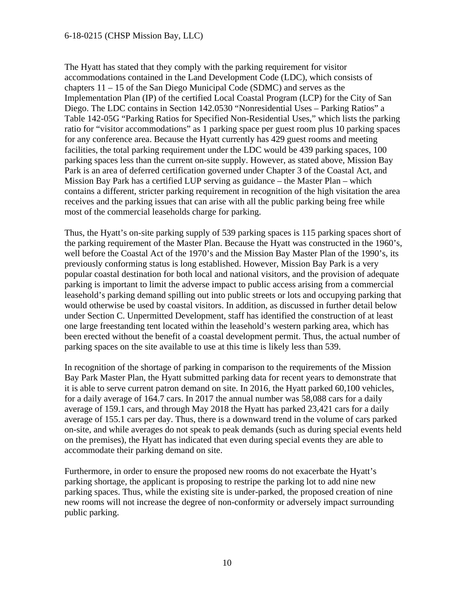#### 6-18-0215 (CHSP Mission Bay, LLC)

The Hyatt has stated that they comply with the parking requirement for visitor accommodations contained in the Land Development Code (LDC), which consists of chapters 11 – 15 of the San Diego Municipal Code (SDMC) and serves as the Implementation Plan (IP) of the certified Local Coastal Program (LCP) for the City of San Diego. The LDC contains in Section 142.0530 "Nonresidential Uses – Parking Ratios" a Table 142-05G "Parking Ratios for Specified Non-Residential Uses," which lists the parking ratio for "visitor accommodations" as 1 parking space per guest room plus 10 parking spaces for any conference area. Because the Hyatt currently has 429 guest rooms and meeting facilities, the total parking requirement under the LDC would be 439 parking spaces, 100 parking spaces less than the current on-site supply. However, as stated above, Mission Bay Park is an area of deferred certification governed under Chapter 3 of the Coastal Act, and Mission Bay Park has a certified LUP serving as guidance – the Master Plan – which contains a different, stricter parking requirement in recognition of the high visitation the area receives and the parking issues that can arise with all the public parking being free while most of the commercial leaseholds charge for parking.

Thus, the Hyatt's on-site parking supply of 539 parking spaces is 115 parking spaces short of the parking requirement of the Master Plan. Because the Hyatt was constructed in the 1960's, well before the Coastal Act of the 1970's and the Mission Bay Master Plan of the 1990's, its previously conforming status is long established. However, Mission Bay Park is a very popular coastal destination for both local and national visitors, and the provision of adequate parking is important to limit the adverse impact to public access arising from a commercial leasehold's parking demand spilling out into public streets or lots and occupying parking that would otherwise be used by coastal visitors. In addition, as discussed in further detail below under Section C. Unpermitted Development, staff has identified the construction of at least one large freestanding tent located within the leasehold's western parking area, which has been erected without the benefit of a coastal development permit. Thus, the actual number of parking spaces on the site available to use at this time is likely less than 539.

In recognition of the shortage of parking in comparison to the requirements of the Mission Bay Park Master Plan, the Hyatt submitted parking data for recent years to demonstrate that it is able to serve current patron demand on site. In 2016, the Hyatt parked 60,100 vehicles, for a daily average of 164.7 cars. In 2017 the annual number was 58,088 cars for a daily average of 159.1 cars, and through May 2018 the Hyatt has parked 23,421 cars for a daily average of 155.1 cars per day. Thus, there is a downward trend in the volume of cars parked on-site, and while averages do not speak to peak demands (such as during special events held on the premises), the Hyatt has indicated that even during special events they are able to accommodate their parking demand on site.

Furthermore, in order to ensure the proposed new rooms do not exacerbate the Hyatt's parking shortage, the applicant is proposing to restripe the parking lot to add nine new parking spaces. Thus, while the existing site is under-parked, the proposed creation of nine new rooms will not increase the degree of non-conformity or adversely impact surrounding public parking.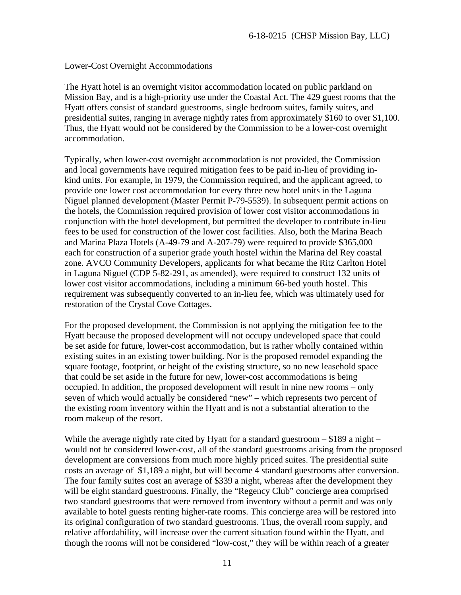#### Lower-Cost Overnight Accommodations

The Hyatt hotel is an overnight visitor accommodation located on public parkland on Mission Bay, and is a high-priority use under the Coastal Act. The 429 guest rooms that the Hyatt offers consist of standard guestrooms, single bedroom suites, family suites, and presidential suites, ranging in average nightly rates from approximately \$160 to over \$1,100. Thus, the Hyatt would not be considered by the Commission to be a lower-cost overnight accommodation.

Typically, when lower-cost overnight accommodation is not provided, the Commission and local governments have required mitigation fees to be paid in-lieu of providing inkind units. For example, in 1979, the Commission required, and the applicant agreed, to provide one lower cost accommodation for every three new hotel units in the Laguna Niguel planned development (Master Permit P-79-5539). In subsequent permit actions on the hotels, the Commission required provision of lower cost visitor accommodations in conjunction with the hotel development, but permitted the developer to contribute in-lieu fees to be used for construction of the lower cost facilities. Also, both the Marina Beach and Marina Plaza Hotels (A-49-79 and A-207-79) were required to provide \$365,000 each for construction of a superior grade youth hostel within the Marina del Rey coastal zone. AVCO Community Developers, applicants for what became the Ritz Carlton Hotel in Laguna Niguel (CDP 5-82-291, as amended), were required to construct 132 units of lower cost visitor accommodations, including a minimum 66-bed youth hostel. This requirement was subsequently converted to an in-lieu fee, which was ultimately used for restoration of the Crystal Cove Cottages.

For the proposed development, the Commission is not applying the mitigation fee to the Hyatt because the proposed development will not occupy undeveloped space that could be set aside for future, lower-cost accommodation, but is rather wholly contained within existing suites in an existing tower building. Nor is the proposed remodel expanding the square footage, footprint, or height of the existing structure, so no new leasehold space that could be set aside in the future for new, lower-cost accommodations is being occupied. In addition, the proposed development will result in nine new rooms – only seven of which would actually be considered "new" – which represents two percent of the existing room inventory within the Hyatt and is not a substantial alteration to the room makeup of the resort.

While the average nightly rate cited by Hyatt for a standard guestroom  $-$  \$189 a night  $$ would not be considered lower-cost, all of the standard guestrooms arising from the proposed development are conversions from much more highly priced suites. The presidential suite costs an average of \$1,189 a night, but will become 4 standard guestrooms after conversion. The four family suites cost an average of \$339 a night, whereas after the development they will be eight standard guestrooms. Finally, the "Regency Club" concierge area comprised two standard guestrooms that were removed from inventory without a permit and was only available to hotel guests renting higher-rate rooms. This concierge area will be restored into its original configuration of two standard guestrooms. Thus, the overall room supply, and relative affordability, will increase over the current situation found within the Hyatt, and though the rooms will not be considered "low-cost," they will be within reach of a greater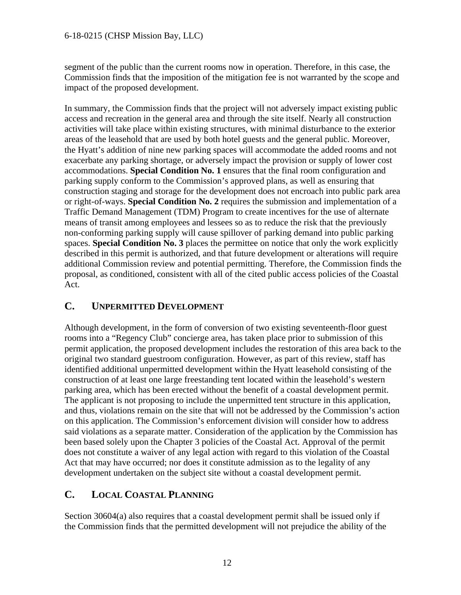segment of the public than the current rooms now in operation. Therefore, in this case, the Commission finds that the imposition of the mitigation fee is not warranted by the scope and impact of the proposed development.

In summary, the Commission finds that the project will not adversely impact existing public access and recreation in the general area and through the site itself. Nearly all construction activities will take place within existing structures, with minimal disturbance to the exterior areas of the leasehold that are used by both hotel guests and the general public. Moreover, the Hyatt's addition of nine new parking spaces will accommodate the added rooms and not exacerbate any parking shortage, or adversely impact the provision or supply of lower cost accommodations. **Special Condition No. 1** ensures that the final room configuration and parking supply conform to the Commission's approved plans, as well as ensuring that construction staging and storage for the development does not encroach into public park area or right-of-ways. **Special Condition No. 2** requires the submission and implementation of a Traffic Demand Management (TDM) Program to create incentives for the use of alternate means of transit among employees and lessees so as to reduce the risk that the previously non-conforming parking supply will cause spillover of parking demand into public parking spaces. **Special Condition No. 3** places the permittee on notice that only the work explicitly described in this permit is authorized, and that future development or alterations will require additional Commission review and potential permitting. Therefore, the Commission finds the proposal, as conditioned, consistent with all of the cited public access policies of the Coastal Act.

## **C. UNPERMITTED DEVELOPMENT**

Although development, in the form of conversion of two existing seventeenth-floor guest rooms into a "Regency Club" concierge area, has taken place prior to submission of this permit application, the proposed development includes the restoration of this area back to the original two standard guestroom configuration. However, as part of this review, staff has identified additional unpermitted development within the Hyatt leasehold consisting of the construction of at least one large freestanding tent located within the leasehold's western parking area, which has been erected without the benefit of a coastal development permit. The applicant is not proposing to include the unpermitted tent structure in this application, and thus, violations remain on the site that will not be addressed by the Commission's action on this application. The Commission's enforcement division will consider how to address said violations as a separate matter. Consideration of the application by the Commission has been based solely upon the Chapter 3 policies of the Coastal Act. Approval of the permit does not constitute a waiver of any legal action with regard to this violation of the Coastal Act that may have occurred; nor does it constitute admission as to the legality of any development undertaken on the subject site without a coastal development permit.

## <span id="page-11-0"></span>**C. LOCAL COASTAL PLANNING**

Section 30604(a) also requires that a coastal development permit shall be issued only if the Commission finds that the permitted development will not prejudice the ability of the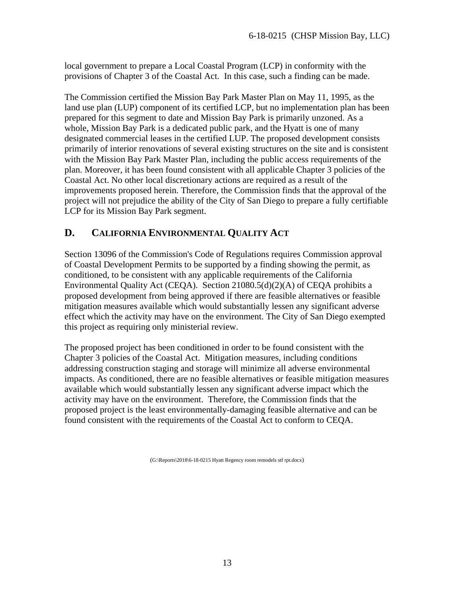local government to prepare a Local Coastal Program (LCP) in conformity with the provisions of Chapter 3 of the Coastal Act. In this case, such a finding can be made.

The Commission certified the Mission Bay Park Master Plan on May 11, 1995, as the land use plan (LUP) component of its certified LCP, but no implementation plan has been prepared for this segment to date and Mission Bay Park is primarily unzoned. As a whole, Mission Bay Park is a dedicated public park, and the Hyatt is one of many designated commercial leases in the certified LUP. The proposed development consists primarily of interior renovations of several existing structures on the site and is consistent with the Mission Bay Park Master Plan, including the public access requirements of the plan. Moreover, it has been found consistent with all applicable Chapter 3 policies of the Coastal Act. No other local discretionary actions are required as a result of the improvements proposed herein. Therefore, the Commission finds that the approval of the project will not prejudice the ability of the City of San Diego to prepare a fully certifiable LCP for its Mission Bay Park segment.

## <span id="page-12-0"></span>**D. CALIFORNIA ENVIRONMENTAL QUALITY ACT**

Section 13096 of the Commission's Code of Regulations requires Commission approval of Coastal Development Permits to be supported by a finding showing the permit, as conditioned, to be consistent with any applicable requirements of the California Environmental Quality Act (CEQA). Section 21080.5(d)(2)(A) of CEQA prohibits a proposed development from being approved if there are feasible alternatives or feasible mitigation measures available which would substantially lessen any significant adverse effect which the activity may have on the environment. The City of San Diego exempted this project as requiring only ministerial review.

The proposed project has been conditioned in order to be found consistent with the Chapter 3 policies of the Coastal Act. Mitigation measures, including conditions addressing construction staging and storage will minimize all adverse environmental impacts. As conditioned, there are no feasible alternatives or feasible mitigation measures available which would substantially lessen any significant adverse impact which the activity may have on the environment. Therefore, the Commission finds that the proposed project is the least environmentally-damaging feasible alternative and can be found consistent with the requirements of the Coastal Act to conform to CEQA.

(G:\Reports\2018\6-18-0215 Hyatt Regency room remodels stf rpt.docx)